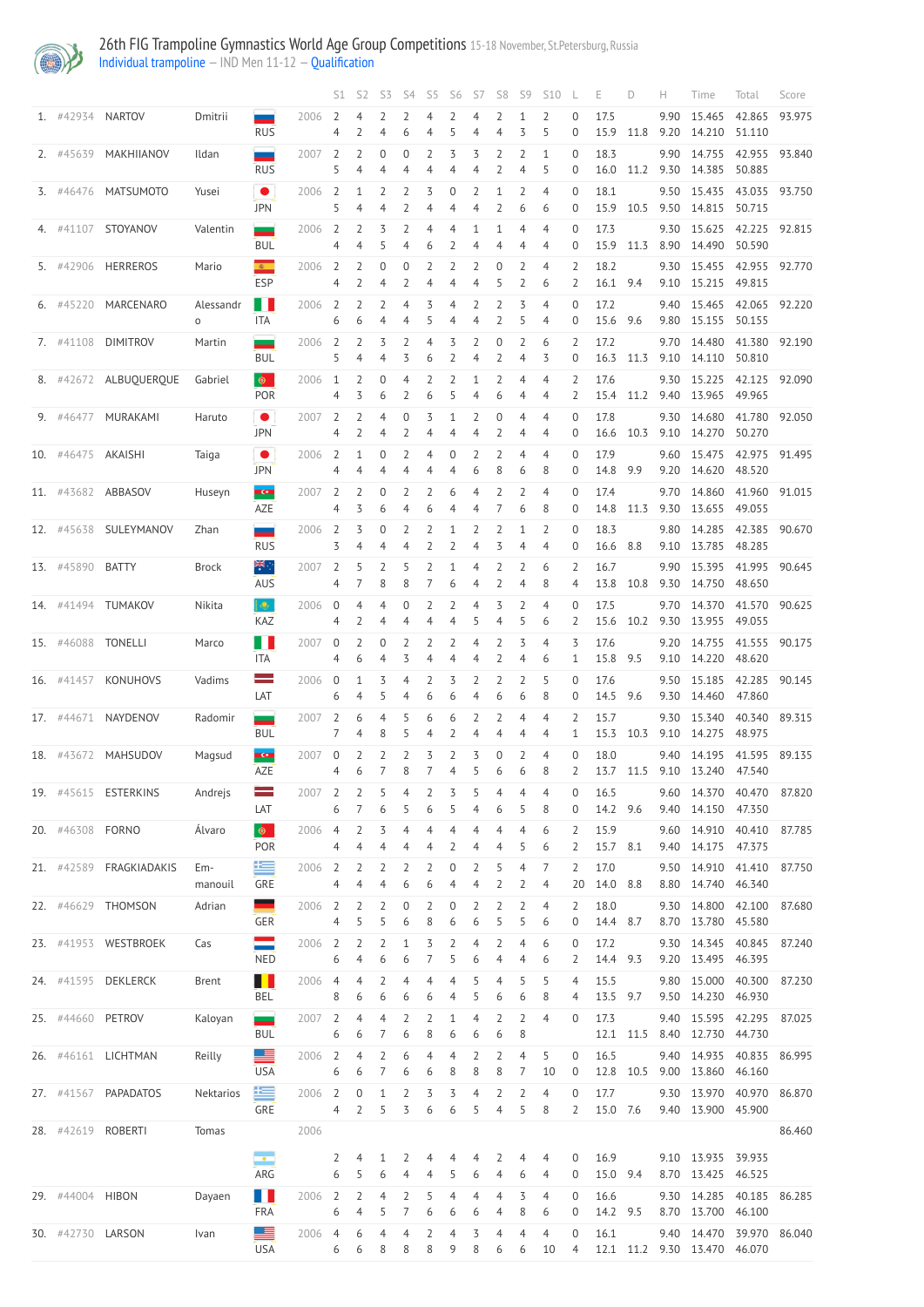

|     |                   |                       |                |                                                                                                                                                                                                                                              |                               | S1                  | S <sub>2</sub>      | S3                   | S4                               | S <sub>5</sub>      | S <sub>6</sub>                | S7                  | S <sub>8</sub> | S9                  | <b>S10</b>                       |                                         | Е                | D        | н            | Time                                                      | Total                   | Score  |
|-----|-------------------|-----------------------|----------------|----------------------------------------------------------------------------------------------------------------------------------------------------------------------------------------------------------------------------------------------|-------------------------------|---------------------|---------------------|----------------------|----------------------------------|---------------------|-------------------------------|---------------------|----------------|---------------------|----------------------------------|-----------------------------------------|------------------|----------|--------------|-----------------------------------------------------------|-------------------------|--------|
|     | 1. #42934 NARTOV  |                       | Dmitrii        | $\overline{\phantom{a}}$<br><b>RUS</b>                                                                                                                                                                                                       | 2006                          | $\overline{2}$<br>4 | 2                   | 4                    | 2<br>6                           | 4<br>4              | 2<br>5                        | 4<br>4              | 2<br>4         | 1<br>3              | $\overline{2}$<br>5              | 0<br>0                                  | 17.5<br>15.9     | 11.8     | 9.90<br>9.20 | 15.465<br>14.210                                          | 42.865<br>51.110        | 93.975 |
|     | 2. #45639         | MAKHIIANOV            | Ildan          | <b>RUS</b>                                                                                                                                                                                                                                   | 2007                          | $\overline{2}$<br>5 | 4                   | 0<br>4               | 0<br>4                           | 2<br>4              | 3<br>4                        | 3<br>4              |                | 2<br>4              | 1<br>5                           | $\overline{0}$<br>0                     | 18.3<br>16.0     | 11.2     | 9.90<br>9.30 | 14.755<br>14.385                                          | 42.955<br>50.885        | 93.840 |
|     |                   | 3. #46476 MATSUMOTO   | Yusei          | $\bullet$<br><b>JPN</b>                                                                                                                                                                                                                      | 2006                          | $\overline{2}$<br>5 | 1<br>4              | 2<br>4               | $\overline{2}$<br>2              | 3<br>4              | $\overline{0}$<br>4           | 2<br>4              | 1<br>2         | $\overline{2}$<br>6 | $\overline{4}$<br>6              | $\overline{0}$<br>0                     | 18.1<br>15.9     | 10.5     | 9.50         | 15.435<br>9.50 14.815                                     | 43.035 93.750<br>50.715 |        |
|     |                   | 4. #41107 STOYANOV    | Valentin       | $\equiv$<br><b>BUL</b>                                                                                                                                                                                                                       | 2006                          | $\overline{2}$<br>4 |                     |                      | 2<br>4                           | 4<br>6              | 4                             | 4                   | 4              | 4<br>4              | $\overline{4}$<br>4              | $\Omega$<br>0                           | 17.3<br>15.9     | 11.3     | 9.30<br>8.90 | 15.625<br>14.490                                          | 42.225 92.815<br>50.590 |        |
|     | 5. #42906         | <b>HERREROS</b>       | Mario          | $\mathbf{c}$<br><b>ESP</b>                                                                                                                                                                                                                   | 2006                          | $\overline{2}$<br>4 | 7                   | 0                    | $\Omega$<br>2                    | $\overline{2}$<br>4 | $\overline{\phantom{0}}$      | 2<br>4              | 0              | 2<br>2              | $\overline{4}$<br>6              | 2<br>2                                  | 18.2<br>16.1 9.4 |          | 9.30<br>9.10 | 15.455 42.955 92.770<br>15.215 49.815                     |                         |        |
|     |                   | 6. #45220 MARCENARO   | Alessandr<br>0 | Ш<br><b>ITA</b>                                                                                                                                                                                                                              | 2006                          | $\overline{2}$<br>6 | 2<br>6              | 2<br>4               | 4<br>4                           | 3<br>5              | 4<br>4                        | 2<br>4              | 2<br>2         | 3<br>5              | $\overline{4}$<br>$\overline{4}$ | $\Omega$<br>$\Omega$                    | 17.2<br>15.6     | 9.6      | 9.40         | 15.465 42.065 92.220<br>9.80 15.155 50.155                |                         |        |
|     | 7. #41108         | <b>DIMITROV</b>       | Martin         | $\overline{\phantom{a}}$<br><b>BUL</b>                                                                                                                                                                                                       | 2006                          | $\overline{2}$<br>5 | 2<br>4              | 3<br>4               | 2<br>3                           | $\overline{4}$<br>6 | 3                             | 2<br>4              | 0              | 2<br>4              | 6<br>3                           | 2<br>$\Omega$                           | 17.2<br>16.3     | 11.3     | 9.70         | 14.480<br>9.10 14.110                                     | 41.380<br>50.810        | 92.190 |
|     |                   | 8. #42672 ALBUQUERQUE | Gabriel        | $\bullet$<br>POR                                                                                                                                                                                                                             | 2006                          | 1<br>4              | 3                   | 0<br>6               | 4<br>2                           | 2<br>6              | $\overline{\phantom{0}}$<br>5 | 4                   | 6              | 4<br>4              | $\overline{4}$<br>4              | 2<br>2                                  | 17.6<br>15.4     | 11.2     | 9.30<br>9.40 | 15.225<br>13.965 49.965                                   | 42.125                  | 92.090 |
|     | 9. #46477         | MURAKAMI              | Haruto         | $\bullet$<br><b>JPN</b>                                                                                                                                                                                                                      | 2007                          | 2<br>4              | 2                   | 4<br>4               | 0<br>2                           | 3<br>4              | 4                             | 2<br>4              | $\Omega$       | 4<br>4              | $\overline{4}$<br>4              | $\Omega$<br>0                           | 17.8<br>16.6     | 10.3     | 9.30         | 14.680<br>9.10 14.270                                     | 41.780<br>50.270        | 92.050 |
|     | 10. #46475        | AKAISHI               | Taiga          | $\bullet$<br><b>JPN</b>                                                                                                                                                                                                                      | 2006                          | $\overline{2}$<br>4 | 4                   | 0<br>4               | 2<br>$\overline{4}$              | $\overline{4}$<br>4 | 0<br>4                        | 2<br>6              | 2<br>8         | 4<br>6              | $\overline{4}$<br>8              | 0<br>0                                  | 17.9<br>14.8     | 9.9      | 9.60<br>9.20 | 15.475<br>14.620 48.520                                   | 42.975 91.495           |        |
|     |                   | 11. #43682 ABBASOV    | Huseyn         | KCI<br>AZE                                                                                                                                                                                                                                   | 2007                          | $\overline{2}$<br>4 | 3                   | 0<br>6               | 2<br>4                           | $\overline{2}$<br>6 | 6<br>4                        | 4<br>4              | J.<br>7        | 2<br>6              | $\overline{4}$<br>8              | $\Omega$<br>0                           | 17.4<br>14.8     | 11.3     | 9.70<br>9.30 | 14.860<br>13.655                                          | 41.960 91.015<br>49.055 |        |
|     | 12. #45638        | SULEYMANOV            | Zhan           | and the contract of the contract of the contract of the contract of the contract of the contract of the contract of the contract of the contract of the contract of the contract of the contract of the contract of the contra<br><b>RUS</b> | 2006                          | 2<br>3              | ζ                   |                      | 2<br>4                           | 2<br>2              |                               | 4                   |                | 1<br>4              | $\overline{2}$<br>4              | $\Omega$<br>0                           | 18.3<br>16.6     | 8.8      | 9.80<br>9.10 | 14.285<br>13.785 48.285                                   | 42.385                  | 90.670 |
|     | 13. #45890        | <b>BATTY</b>          | <b>Brock</b>   | ₩.,<br>AUS                                                                                                                                                                                                                                   | 2007                          | $\overline{2}$<br>4 | 5                   | 2<br>8               | 5<br>8                           | 2                   | 1<br>6                        | 4<br>4              | 2              | $\overline{2}$<br>4 | 6<br>8                           | 2<br>4                                  | 16.7<br>13.8     | 10.8     | 9.90<br>9.30 | 15.395 41.995 90.645<br>14.750                            | 48.650                  |        |
|     |                   | 14. #41494 TUMAKOV    | Nikita         | $\left  \cdot \right\rangle$<br>KAZ                                                                                                                                                                                                          | 2006                          | 0<br>4              | 4<br>2              | 4<br>4               | 0<br>4                           | $\overline{2}$<br>4 | 2<br>4                        | 4<br>5              | 3<br>4         | 2<br>5              | $\overline{4}$<br>6              | $\Omega$<br>2                           | 17.5<br>15.6     | 10.2     | 9.70<br>9.30 | 14.370<br>13.955                                          | 41.570<br>49.055        | 90.625 |
|     | 15. #46088        | <b>TONELLI</b>        | Marco          | l I<br><b>ITA</b>                                                                                                                                                                                                                            | 2007                          | $\overline{0}$<br>4 | 2<br>6              | $\Omega$<br>4        | 2<br>3                           | 2<br>4              | 2<br>4                        | 4<br>4              | 2<br>2         | 3<br>4              | $\overline{4}$<br>6              | 3<br>1                                  | 17.6<br>15.8     | 9.5      | 9.20<br>9.10 | 14.755<br>14.220                                          | 41.555 90.175<br>48.620 |        |
|     | 16. #41457        | KONUHOVS              | Vadims         | $\mathcal{L}$<br>LAT                                                                                                                                                                                                                         | 2006                          | $\mathbf 0$<br>6    | 1<br>4              | 3                    | 4<br>4                           | 2<br>6              | 3<br>6                        | 2<br>4              | 2<br>6         | 2<br>6              | 5<br>8                           | $\Omega$<br>$\Omega$                    | 17.6<br>14.5     | 9.6      | 9.50<br>9.30 | 15.185<br>14.460                                          | 42.285<br>47.860        | 90.145 |
|     | 17. #44671        | NAYDENOV              | Radomir        | $\mathcal{L}(\mathcal{A})$<br><b>BUL</b>                                                                                                                                                                                                     | 2007                          | $\overline{2}$<br>7 | 6<br>4              | 4<br>8               | 5<br>5                           | 6<br>4              | 6                             | 2<br>4              | 2<br>4         | 4<br>4              | $\overline{4}$<br>$\overline{4}$ | 2<br>1                                  | 15.7<br>15.3     | 10.3     | 9.30<br>9.10 | 15.340<br>14.275                                          | 40.340<br>48.975        | 89.315 |
| 18. | #43672            | MAHSUDOV              | Magsud         | <b>KCR</b><br>AZE                                                                                                                                                                                                                            | 2007                          | $\mathbf 0$<br>4    | 2<br>6              | 2                    | 2<br>8                           | 3<br>7              | $\overline{\phantom{0}}$<br>4 | 3<br>5              | $\Omega$<br>6  | $\overline{2}$<br>6 | $\overline{4}$<br>8              | $\Omega$<br>2                           | 18.0<br>13.7     | 11.5     | 9.40<br>9.10 | 14.195<br>13.240                                          | 41.595<br>47.540        | 89.135 |
|     | 19. #45615        | <b>ESTERKINS</b>      | Andrejs        | LAT                                                                                                                                                                                                                                          | 2007                          | $\overline{2}$<br>6 |                     | 6                    | 4<br>5                           | $\overline{2}$<br>6 | 3<br>5                        | 4                   | 4<br>6         | 4<br>5              | $\overline{4}$<br>8              | 0<br>0                                  | 16.5<br>14.2 9.6 |          | 9.60<br>9.40 | 14.370<br>14.150                                          | 40.470<br>47.350        | 87.820 |
|     | 20. #46308        | <b>FORNO</b>          | Álvaro         | $\bullet$<br><b>POR</b>                                                                                                                                                                                                                      | 2006                          | 4<br>4              | 2<br>4              | 3<br>4               | 4<br>4                           | $\overline{4}$<br>4 | $\overline{4}$<br>2           | 4<br>4              | 4<br>4         | 4<br>5              | 6<br>6                           | $\overline{2}$<br>2                     | 15.9<br>15.7     | 8.1      | 9.60<br>9.40 | 14.910<br>14.175                                          | 40.410<br>47.375        | 87.785 |
|     | 21. #42589        | FRAGKIADAKIS          | Em-<br>manouil | 写<br><b>GRE</b>                                                                                                                                                                                                                              | 2006                          | $\overline{2}$<br>4 | 4                   | 4                    | 2<br>6                           | $\overline{2}$<br>6 | 0<br>4                        | 2<br>4              | 2              | 4<br>2              | 7<br>4                           | 2<br>20                                 | 17.0<br>14.0     | 8.8      | 9.50<br>8.80 | 14.910<br>14.740                                          | 41.410<br>46.340        | 87.750 |
|     |                   | 22. #46629 THOMSON    | Adrian         | $\equiv$<br>GER                                                                                                                                                                                                                              | 2006                          | $\overline{2}$<br>4 | 7<br>5              |                      | 0<br>6                           | 2<br>8              | $\Omega$<br>6                 | 2<br>6              |                | 2<br>5              | $\overline{4}$<br>6              | $\overline{2}$<br>0                     | 18.0<br>14.4     | 8.7      | 9.30<br>8.70 | 14.800<br>13.780                                          | 42.100<br>45.580        | 87.680 |
|     |                   | 23. #41953 WESTBROEK  | Cas            | <b>NED</b>                                                                                                                                                                                                                                   | 2006                          | $\overline{2}$<br>6 | 2<br>4              | 2<br>6               | $\mathbf{1}$<br>6                | 3<br>7              | $\overline{2}$<br>5           | 4<br>6              | 2<br>4         | 4<br>4              | 6<br>6                           | 0<br>$\overline{2}$                     | 17.2<br>14.4     | 9.3      | 9.30         | 14.345<br>9.20 13.495                                     | 40.845<br>46.395        | 87.240 |
|     | 24. #41595        | <b>DEKLERCK</b>       | <b>Brent</b>   | H<br><b>BEL</b>                                                                                                                                                                                                                              | 2006                          | 4<br>8              | 4<br>6              | 2<br>6               | 4<br>6                           | $\overline{4}$<br>6 | 4<br>4                        | 5<br>5              | 4<br>6         | 5<br>6              | 5<br>8                           | 4<br>4                                  | 15.5<br>13.5     | 9.7      | 9.80<br>9.50 | 15.000<br>14.230                                          | 40.300<br>46.930        | 87.230 |
|     | 25. #44660        | PETROV                | Kaloyan        | <u>and</u><br><b>BUL</b>                                                                                                                                                                                                                     | 2007                          | $\overline{2}$<br>6 | 4<br>6              | 4<br>7               | 2<br>6                           | $\overline{2}$<br>8 | $\mathbf{1}$<br>6             | 4<br>6              | 2<br>6         | $\overline{2}$<br>8 | $\overline{4}$                   | $\Omega$                                | 17.3<br>12.1     | 11.5     | 9.40<br>8.40 | 15.595<br>12.730                                          | 42.295<br>44.730        | 87.025 |
| 26. | #46161            | LICHTMAN              | Reilly         | <b>USA</b>                                                                                                                                                                                                                                   | 2006                          | $\overline{2}$<br>6 | 4<br>6              | $\overline{2}$<br>7  | 6<br>6                           | $\overline{4}$<br>6 | 4<br>-8                       | $\overline{2}$<br>8 | 2<br>8         | 4<br>7              | 5<br>10                          | 0<br>$\overline{0}$                     | 16.5             |          | 9.40         | 14.935<br>12.8 10.5 9.00 13.860 46.160                    | 40.835                  | 86.995 |
|     |                   | 27. #41567 PAPADATOS  | Nektarios      | 写<br>GRE                                                                                                                                                                                                                                     | 2006 2<br>$4 \quad 2 \quad 5$ |                     | $\overline{0}$      | 1                    | $\overline{2}$<br>$\overline{3}$ | 3<br>6              | 3<br>6                        | 4<br>5              | 2<br>4         | 2<br>5              | 4<br>8                           | $\overline{0}$<br>$\mathbf{2}^{\prime}$ | 17.7<br>15.0 7.6 |          |              | 9.30 13.970 40.970 86.870<br>9.40 13.900 45.900           |                         |        |
|     |                   | 28. #42619 ROBERTI    | Tomas          |                                                                                                                                                                                                                                              | 2006                          |                     |                     |                      |                                  |                     |                               |                     |                |                     |                                  |                                         |                  |          |              |                                                           |                         | 86.460 |
|     |                   |                       |                | <u>بہ</u><br>ARG                                                                                                                                                                                                                             |                               | 2<br>6              | 4<br>5.             | 6                    | 4                                | 4                   | 5                             | 6                   | 2<br>4         | 4<br>6              | 4<br>4                           | $\overline{0}$<br>$\overline{0}$        | 15.0 9.4         | 16.9     |              | 9.10 13.935 39.935<br>8.70 13.425 46.525                  |                         |        |
|     | 29. #44004 HIBON  |                       | Dayaen         | $\blacksquare$<br>FRA                                                                                                                                                                                                                        | 2006 2                        | 6                   | $\overline{2}$<br>4 | $\overline{4}$<br>5. | $\overline{2}$<br>7              | 5<br>6              | 4<br>6                        | 4<br>6              | 4<br>4         | 3<br>8              | 4<br>6                           | $\overline{0}$<br>$\overline{0}$        | 16.6             | 14.2 9.5 |              | 9.30 14.285 40.185 86.285<br>8.70 13.700 46.100           |                         |        |
|     | 30. #42730 LARSON |                       | Ivan           | <u>est</u><br><b>USA</b>                                                                                                                                                                                                                     | 2006 4                        | 6                   | 6<br>6              | 4<br>8               | 4<br>8                           | $\overline{2}$<br>8 | 4<br>9                        | 3<br>8              | 4<br>6         | 4<br>6              | $\overline{4}$<br>10             | $\overline{0}$<br>$\overline{4}$        | 16.1             |          |              | 9.40 14.470 39.970 86.040<br>12.1 11.2 9.30 13.470 46.070 |                         |        |